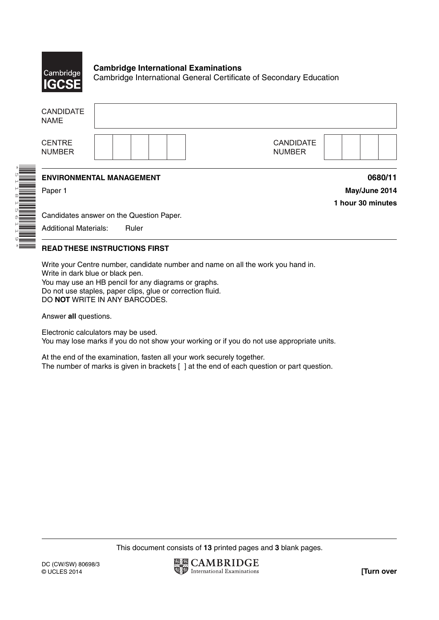

#### **Cambridge International Examinations** Cambridge International General Certificate of Secondary Education

| <b>CANDIDATE</b><br><b>NAME</b> |                                          |                   |
|---------------------------------|------------------------------------------|-------------------|
| <b>CENTRE</b><br><b>NUMBER</b>  | <b>CANDIDATE</b><br><b>NUMBER</b>        |                   |
|                                 |                                          |                   |
|                                 | <b>ENVIRONMENTAL MANAGEMENT</b>          | 0680/11           |
| Paper 1                         |                                          | May/June 2014     |
|                                 |                                          | 1 hour 30 minutes |
|                                 | Candidates answer on the Question Paper. |                   |
| <b>Additional Materials:</b>    | Ruler                                    |                   |
|                                 |                                          |                   |

#### **READ THESE INSTRUCTIONS FIRST**

Write your Centre number, candidate number and name on all the work you hand in. Write in dark blue or black pen. You may use an HB pencil for any diagrams or graphs. Do not use staples, paper clips, glue or correction fluid. DO **NOT** WRITE IN ANY BARCODES.

Answer **all** questions.

Electronic calculators may be used. You may lose marks if you do not show your working or if you do not use appropriate units.

At the end of the examination, fasten all your work securely together. The number of marks is given in brackets [ ] at the end of each question or part question.

This document consists of **13** printed pages and **3** blank pages.

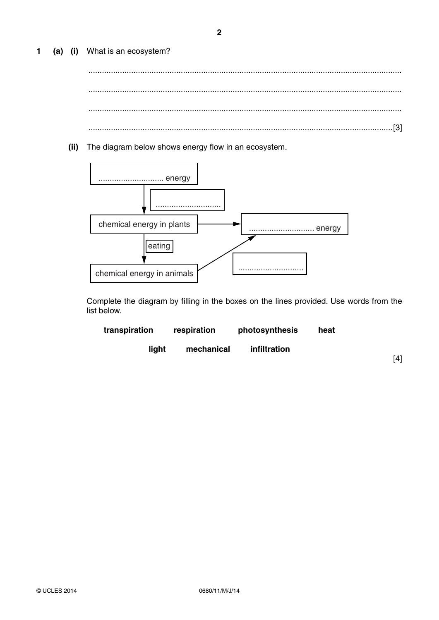**1 (a) (i)** What is an ecosystem?

 ........................................................................................................................................... ........................................................................................................................................... ........................................................................................................................................... .......................................................................................................................................[3]

 **(ii)** The diagram below shows energy flow in an ecosystem.



Complete the diagram by filling in the boxes on the lines provided. Use words from the list below.

| transpiration | respiration | photosynthesis | heat |     |
|---------------|-------------|----------------|------|-----|
| light         | mechanical  | infiltration   |      | [4] |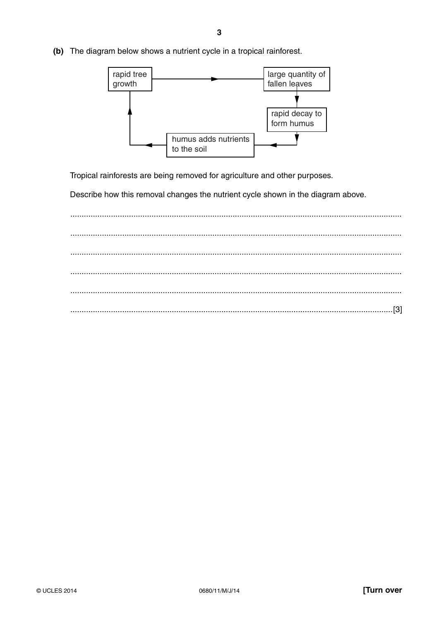(b) The diagram below shows a nutrient cycle in a tropical rainforest.



Tropical rainforests are being removed for agriculture and other purposes.

Describe how this removal changes the nutrient cycle shown in the diagram above.

 $\ddotsc$  $\sim$   $\sim$   $\sim$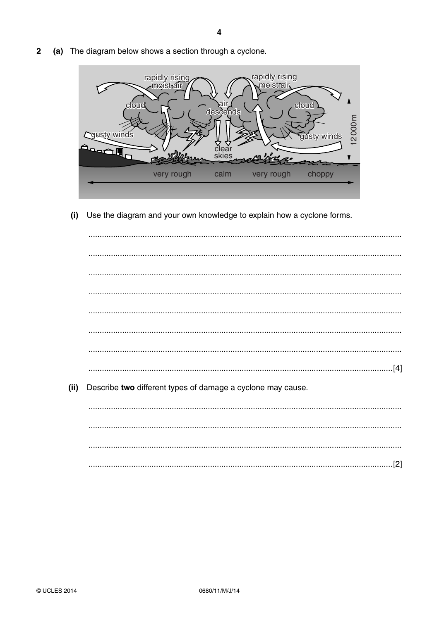| cloud<br>gusty winds<br><b>August</b> | rapidly rising<br>-moist áir | aır<br>descends<br>clear<br>skies | rapidly rising<br><b><i>Moist air</i></b> | cloud<br>gusty winds | ε<br>2000 |
|---------------------------------------|------------------------------|-----------------------------------|-------------------------------------------|----------------------|-----------|
|                                       | very rough                   | calm                              | very rough                                | choppy               |           |

(a) The diagram below shows a section through a cyclone.  $\mathbf 2$ 

(i) Use the diagram and your own knowledge to explain how a cyclone forms.

|      | $\lbrack . \lbrack 4 \rbrack$                               |
|------|-------------------------------------------------------------|
| (ii) | Describe two different types of damage a cyclone may cause. |
|      |                                                             |
|      |                                                             |
|      |                                                             |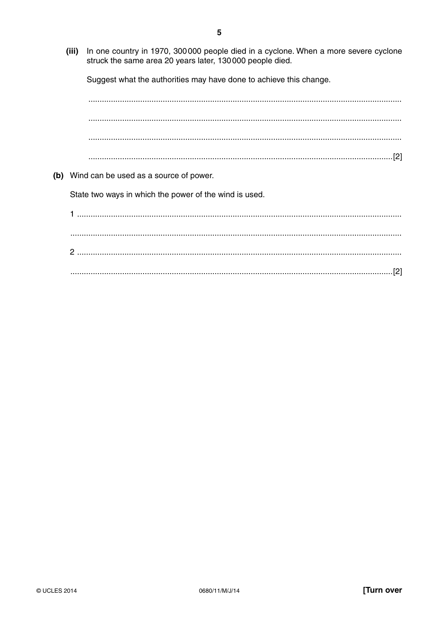(iii) In one country in 1970, 300000 people died in a cyclone. When a more severe cyclone struck the same area 20 years later, 130000 people died.

Suggest what the authorities may have done to achieve this change.

(b) Wind can be used as a source of power. State two ways in which the power of the wind is used.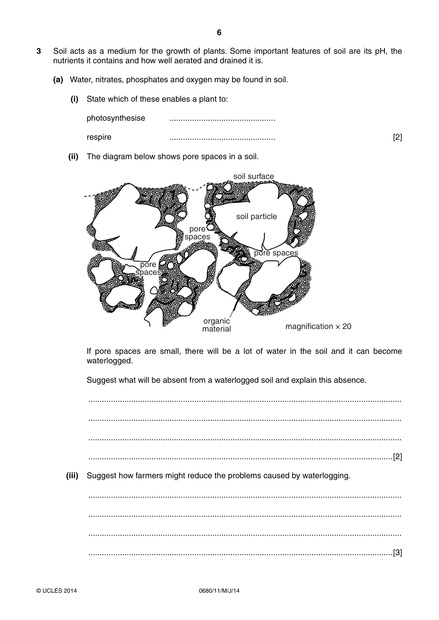- **3** Soil acts as a medium for the growth of plants. Some important features of soil are its pH, the nutrients it contains and how well aerated and drained it is.
	- **(a)** Water, nitrates, phosphates and oxygen may be found in soil.
		- **(i)** State which of these enables a plant to:

| nhotosyn |          |
|----------|----------|
| respire  | `רו<br>┕ |

 **(ii)** The diagram below shows pore spaces in a soil.



If pore spaces are small, there will be a lot of water in the soil and it can become waterlogged.

Suggest what will be absent from a waterlogged soil and explain this absence.

 ........................................................................................................................................... ........................................................................................................................................... ........................................................................................................................................... .......................................................................................................................................[2]  **(iii)** Suggest how farmers might reduce the problems caused by waterlogging. ........................................................................................................................................... ........................................................................................................................................... ........................................................................................................................................... .......................................................................................................................................[3]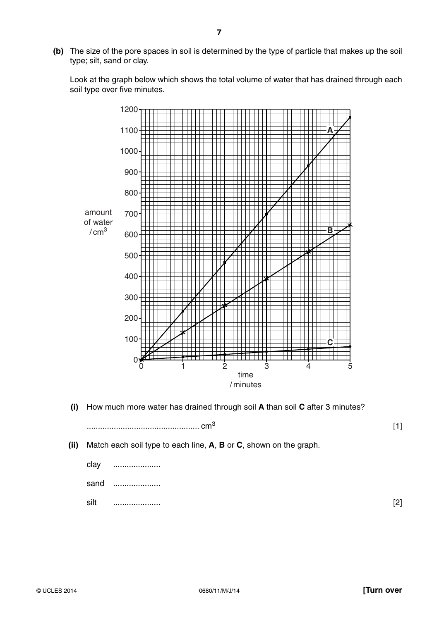**(b)** The size of the pore spaces in soil is determined by the type of particle that makes up the soil type; silt, sand or clay.

Look at the graph below which shows the total volume of water that has drained through each soil type over five minutes.



 **(i)** How much more water has drained through soil **A** than soil **C** after 3 minutes?

.................................................. cm3 [1]

- **(ii)** Match each soil type to each line, **A**, **B** or **C**, shown on the graph.
	- clay ..................... sand ...................... silt ..................... [2]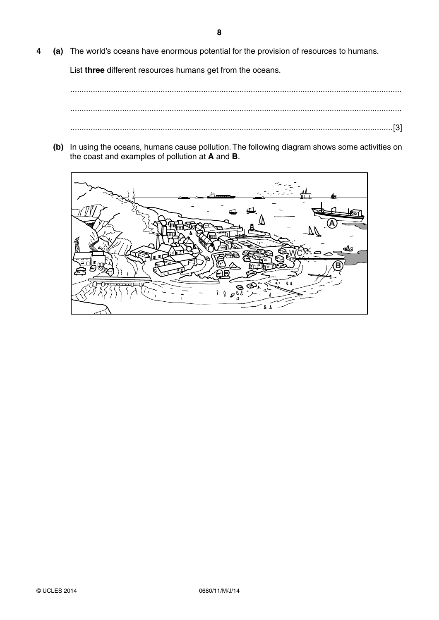**4 (a)** The world's oceans have enormous potential for the provision of resources to humans.

List **three** different resources humans get from the oceans.

 ................................................................................................................................................... ................................................................................................................................................... ...............................................................................................................................................[3]

 **(b)** In using the oceans, humans cause pollution. The following diagram shows some activities on the coast and examples of pollution at **A** and **B**.

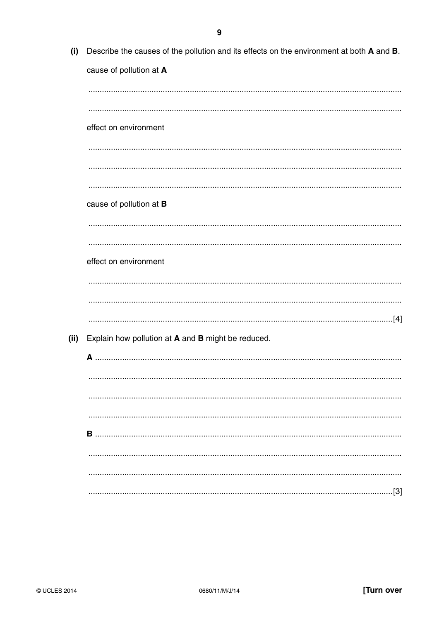| (i)  | Describe the causes of the pollution and its effects on the environment at both A and B. |
|------|------------------------------------------------------------------------------------------|
|      | cause of pollution at A                                                                  |
|      |                                                                                          |
|      |                                                                                          |
|      | effect on environment                                                                    |
|      |                                                                                          |
|      |                                                                                          |
|      |                                                                                          |
|      | cause of pollution at B                                                                  |
|      |                                                                                          |
|      |                                                                                          |
|      | effect on environment                                                                    |
|      |                                                                                          |
|      |                                                                                          |
|      |                                                                                          |
| (ii) | Explain how pollution at A and B might be reduced.                                       |
|      |                                                                                          |
|      |                                                                                          |
|      |                                                                                          |
|      |                                                                                          |
|      |                                                                                          |
|      |                                                                                          |
|      |                                                                                          |
|      | $\ldots$ $[3]$                                                                           |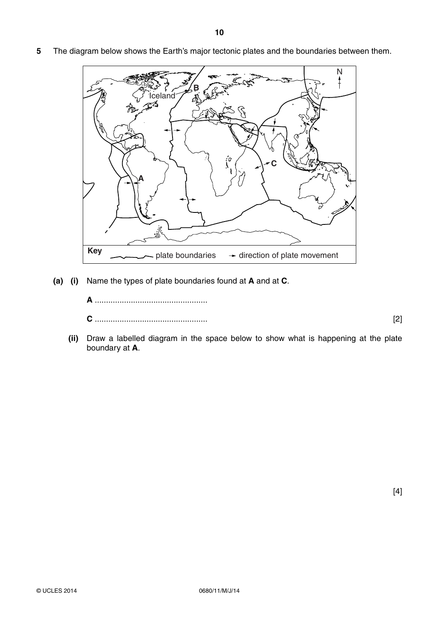- N  $\ddagger$ **B** and **C A Key**  $\sim$  plate boundaries  $\rightarrow$  direction of plate movement
- **5** The diagram below shows the Earth's major tectonic plates and the boundaries between them.

 **(a) (i)** Name the types of plate boundaries found at **A** and at **C**.

 **A** .................................................. **C** .................................................. [2]

 **(ii)** Draw a labelled diagram in the space below to show what is happening at the plate boundary at **A**.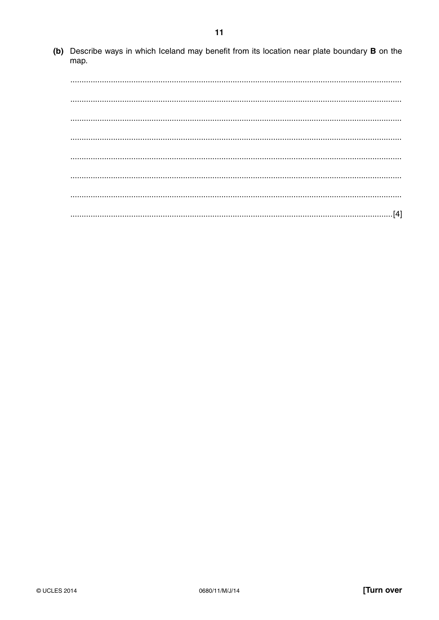(b) Describe ways in which Iceland may benefit from its location near plate boundary B on the map.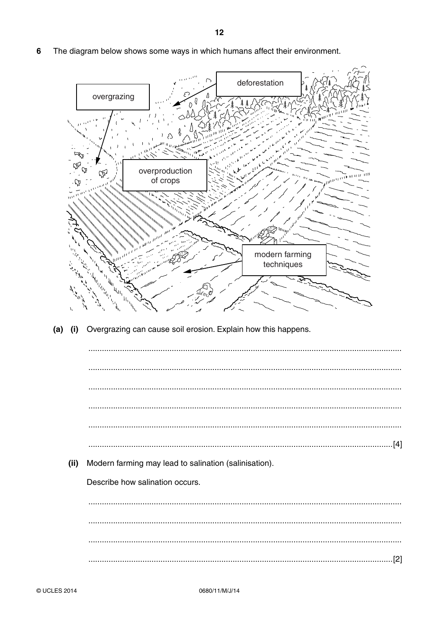- deforestation overgrazing overproduction  $u$  at  $\theta$ of crops modern farming techniques
- The diagram below shows some ways in which humans affect their environment. 6

 $(a)$  (i) Overgrazing can cause soil erosion. Explain how this happens.

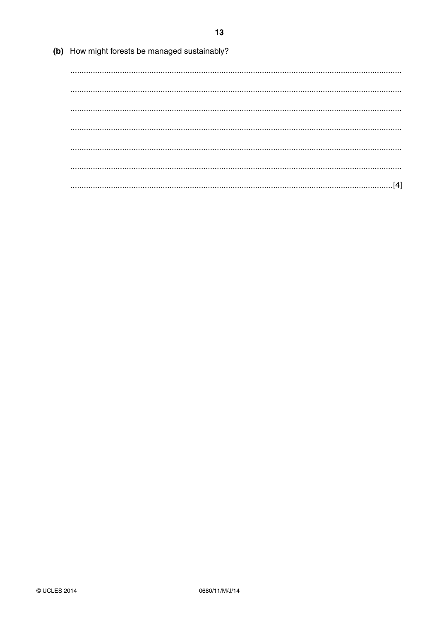| (b) How might forests be managed sustainably? |
|-----------------------------------------------|
|                                               |
|                                               |
|                                               |
|                                               |
|                                               |
|                                               |
| $[4] \centering \label{def:3}$                |
|                                               |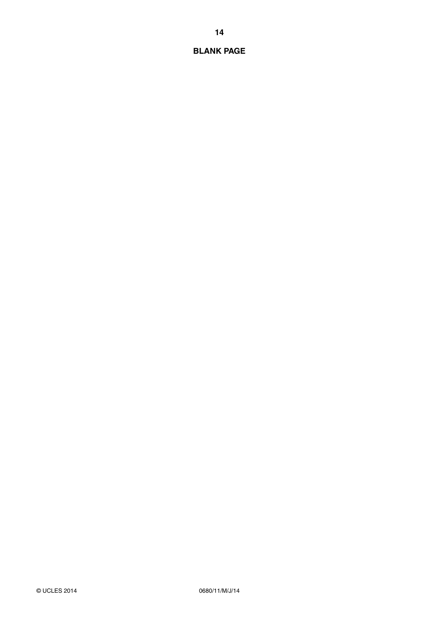# **BLANK PAGE**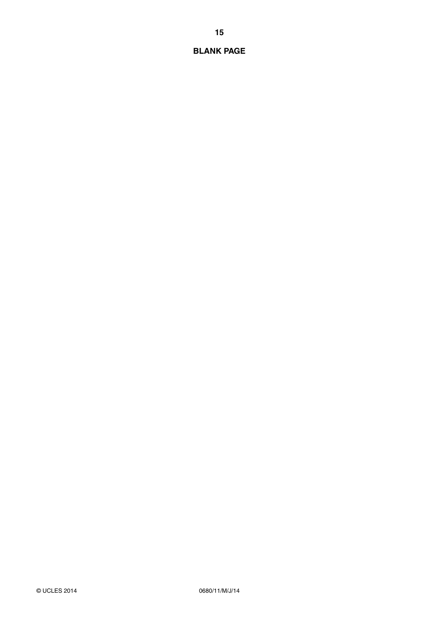# **BLANK PAGE**